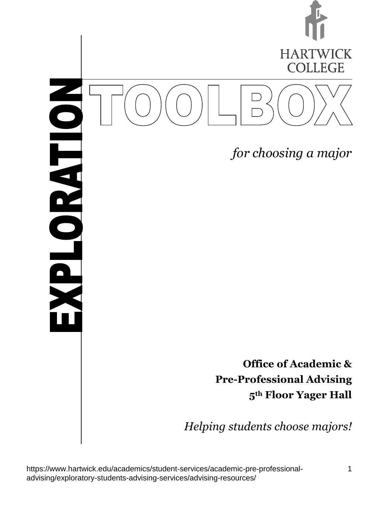

*for choosing a major*

Ó **NASHOTE** 

> **Office of Academic & Pre-Professional Advising 5th Floor Yager Hall**

*Helping students choose majors!*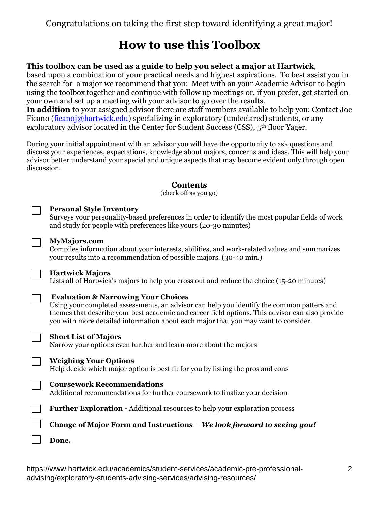### **How to use this Toolbox**

#### **This toolbox can be used as a guide to help you select a major at Hartwick**,

based upon a combination of your practical needs and highest aspirations. To best assist you in the search for a major we recommend that you: Meet with an your Academic Advisor to begin using the toolbox together and continue with follow up meetings or, if you prefer, get started on your own and set up a meeting with your advisor to go over the results.

**In addition** to your assigned advisor there are staff members available to help you: Contact Joe Ficano [\(ficanoj@hartwick.edu\)](mailto:ficanoj@hartwick.edu) specializing in exploratory (undeclared) students, or any exploratory advisor located in the Center for Student Success (CSS), 5<sup>th</sup> floor Yager.

During your initial appointment with an advisor you will have the opportunity to ask questions and discuss your experiences, expectations, knowledge about majors, concerns and ideas. This will help your advisor better understand your special and unique aspects that may become evident only through open discussion.

#### **Contents**

(check off as you go)

| <b>Personal Style Inventory</b>                                                                                                                                                       |
|---------------------------------------------------------------------------------------------------------------------------------------------------------------------------------------|
| Surveys your personality-based preferences in order to identify the most popular fields of work<br>and study for people with preferences like yours (20-30 minutes)                   |
| <b>MyMajors.com</b>                                                                                                                                                                   |
| Compiles information about your interests, abilities, and work-related values and summarizes<br>your results into a recommendation of possible majors. (30-40 min.)                   |
| <b>Hartwick Majors</b>                                                                                                                                                                |
| Lists all of Hartwick's majors to help you cross out and reduce the choice (15-20 minutes)                                                                                            |
| <b>Evaluation &amp; Narrowing Your Choices</b>                                                                                                                                        |
| Using your completed assessments, an advisor can help you identify the common patters and                                                                                             |
| themes that describe your best academic and career field options. This advisor can also provide<br>you with more detailed information about each major that you may want to consider. |
| <b>Short List of Majors</b>                                                                                                                                                           |
| Narrow your options even further and learn more about the majors                                                                                                                      |
| <b>Weighing Your Options</b>                                                                                                                                                          |
| Help decide which major option is best fit for you by listing the pros and cons                                                                                                       |
| <b>Coursework Recommendations</b>                                                                                                                                                     |
| Additional recommendations for further coursework to finalize your decision                                                                                                           |
| <b>Further Exploration - Additional resources to help your exploration process</b>                                                                                                    |
| Change of Major Form and Instructions – We look forward to seeing you!                                                                                                                |
| Done.                                                                                                                                                                                 |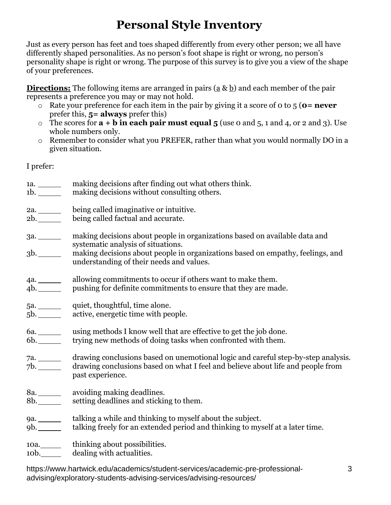# **Personal Style Inventory**

Just as every person has feet and toes shaped differently from every other person; we all have differently shaped personalities. As no person's foot shape is right or wrong, no person's personality shape is right or wrong. The purpose of this survey is to give you a view of the shape of your preferences.

**Directions:** The following items are arranged in pairs (a & b) and each member of the pair represents a preference you may or may not hold.

- o Rate your preference for each item in the pair by giving it a score of 0 to 5 (**0= never** prefer this, **5= always** prefer this)
- o The scores for **a + b in each pair must equal 5** (use 0 and 5, 1 and 4, or 2 and 3). Use whole numbers only.
- o Remember to consider what you PREFER, rather than what you would normally DO in a given situation.

I prefer:

1a. making decisions after finding out what others think. 1b. <u>making decisions</u> without consulting others. 2a. being called imaginative or intuitive. 2b. \_\_\_\_\_ being called factual and accurate. 3a. making decisions about people in organizations based on available data and systematic analysis of situations. 3b. making decisions about people in organizations based on empathy, feelings, and understanding of their needs and values. 4a. \_\_\_\_\_\_\_\_ allowing commitments to occur if others want to make them. 4b. pushing for definite commitments to ensure that they are made. 5a. quiet, thoughtful, time alone. 5b. active, energetic time with people. 6a. using methods I know well that are effective to get the job done. 6b. trying new methods of doing tasks when confronted with them. 7a. drawing conclusions based on unemotional logic and careful step-by-step analysis. 7b. drawing conclusions based on what I feel and believe about life and people from past experience. 8a. woiding making deadlines.<br>8b. setting deadlines and sticking setting deadlines and sticking to them. 9a. \_\_\_\_\_\_\_\_ talking a while and thinking to myself about the subject. 9b. talking freely for an extended period and thinking to myself at a later time. 10a. htinking about possibilities. 10b. dealing with actualities.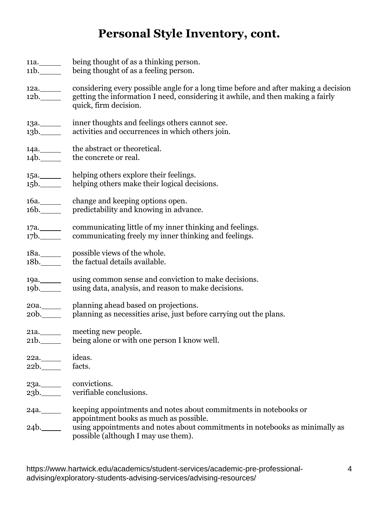# **Personal Style Inventory, cont.**

|              | 11a. being thought of as a thinking person.<br>11b. being thought of as a feeling person.                                                                                                                 |
|--------------|-----------------------------------------------------------------------------------------------------------------------------------------------------------------------------------------------------------|
|              | 12a. considering every possible angle for a long time before and after making a decision<br>12b. getting the information I need, considering it awhile, and then making a fairly<br>quick, firm decision. |
| 13a.<br>13b. | inner thoughts and feelings others cannot see.<br>activities and occurrences in which others join.                                                                                                        |
| 14a.<br>14b. | the abstract or theoretical.<br>the concrete or real.                                                                                                                                                     |
| 15b.         | 15a. _______ helping others explore their feelings.<br>helping others make their logical decisions.                                                                                                       |
|              | 16a. Change and keeping options open.<br>16b. predictability and knowing in advance.                                                                                                                      |
|              | 17b. communicating freely my inner thinking and feelings.                                                                                                                                                 |
| 18a.<br>18b. | possible views of the whole.<br>the factual details available.                                                                                                                                            |
| 19b.         | 19a. using common sense and conviction to make decisions.<br>using data, analysis, and reason to make decisions.                                                                                          |
|              | 20a. Planning ahead based on projections.<br>20b. planning as necessities arise, just before carrying out the plans.                                                                                      |
|              | 21a. meeting new people.<br>21b. being alone or with one person I know well.                                                                                                                              |
| 22a.<br>22b. | ideas.<br>facts.                                                                                                                                                                                          |
| 23a.<br>23b. | convictions.<br>verifiable conclusions.                                                                                                                                                                   |
| 24a.         | keeping appointments and notes about commitments in notebooks or<br>appointment books as much as possible.                                                                                                |
| $24b$ .      | using appointments and notes about commitments in notebooks as minimally as<br>possible (although I may use them).                                                                                        |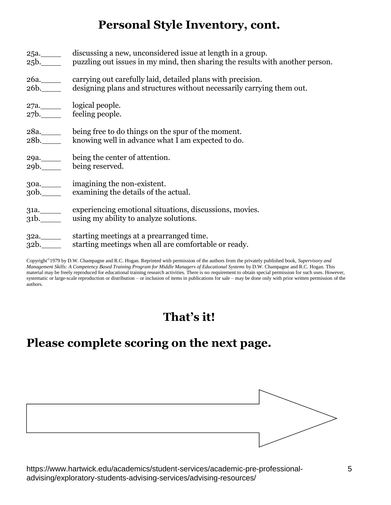### **Personal Style Inventory, cont.**

| 25a. _______ discussing a new, unconsidered issue at length in a group.<br>25b. puzzling out issues in my mind, then sharing the results with another person. |
|---------------------------------------------------------------------------------------------------------------------------------------------------------------|
| 26a. carrying out carefully laid, detailed plans with precision.<br>26b. designing plans and structures without necessarily carrying them out.                |
| 27a._______ logical people.<br>27b. feeling people.                                                                                                           |
| 28a. being free to do things on the spur of the moment.<br>28b. knowing well in advance what I am expected to do.                                             |
| 29a. being the center of attention.<br>29b. being reserved.                                                                                                   |
| 30a. ________ imagining the non-existent.<br>30b. examining the details of the actual.                                                                        |
| 31a. experiencing emotional situations, discussions, movies.<br>31b. using my ability to analyze solutions.                                                   |
| 32a. _________ starting meetings at a prearranged time.<br>32b. starting meetings when all are comfortable or ready.                                          |

Copyright<sup>®</sup> 1979 by D.W. Champagne and R.C. Hogan. Reprinted with permission of the authors from the privately published book, *Supervisory and Management Skills: A Competency Based Training Program for Middle Managers of Educational Systems* by D.W. Champagne and R.C. Hogan. This material may be freely reproduced for educational training research activities. There is no requirement to obtain special permission for such uses. However, systematic or large-scale reproduction or distribution – or inclusion of items in publications for sale – may be done only with prior written permission of the authors.

## **That's it!**

## **Please complete scoring on the next page.**

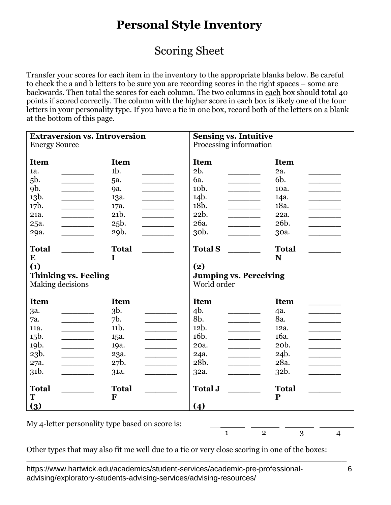## **Personal Style Inventory**

### Scoring Sheet

Transfer your scores for each item in the inventory to the appropriate blanks below. Be careful to check the  $\underline{a}$  and  $\underline{b}$  letters to be sure you are recording scores in the right spaces – some are backwards. Then total the scores for each column. The two columns in each box should total 40 points if scored correctly. The column with the higher score in each box is likely one of the four letters in your personality type. If you have a tie in one box, record both of the letters on a blank at the bottom of this page.

| <b>Extraversion vs. Introversion</b>            |                                                                                                                                   | <b>Sensing vs. Intuitive</b>                       |                                  |
|-------------------------------------------------|-----------------------------------------------------------------------------------------------------------------------------------|----------------------------------------------------|----------------------------------|
| <b>Energy Source</b>                            |                                                                                                                                   | Processing information                             |                                  |
|                                                 |                                                                                                                                   |                                                    |                                  |
| <b>Item</b>                                     | <b>Item</b>                                                                                                                       | <b>Item</b>                                        | <b>Item</b>                      |
| 1a.                                             | $1b$ .                                                                                                                            | 2b.                                                | 2a.                              |
| 5b.<br><u> 1980 - Jan Sarajević, politik po</u> | 5a.<br><u> 1980 - Jan James Barnett, politik e</u> ta idazlea (h. 1918).<br>1901 - Johann Barnett, politik eta idazlea (h. 1918). | 6a.<br><u> 1980 - Jan Samuel Barbara, mart</u>     | 6b.<br><u> La Carlo de la Ca</u> |
| 9b.                                             | 9a.                                                                                                                               | 10 <sub>b</sub> .                                  | 10a.                             |
| 13b.<br>$\overline{\phantom{a}}$                | 13a.                                                                                                                              | 14b.<br>$\overline{\phantom{a}}$                   | 14a.                             |
| 17b.                                            | 17a.                                                                                                                              | 18b.                                               | 18a.                             |
| 21a.                                            | 21b.                                                                                                                              | 22b.                                               | 22a.                             |
| 25a.<br><u>and the state of the state</u>       | 25b.                                                                                                                              | 26a.                                               | 26b.                             |
| 29a.<br>$\overline{\phantom{a}}$                | 29b.                                                                                                                              | 30 <sub>b</sub> .                                  | 30a.                             |
|                                                 |                                                                                                                                   |                                                    |                                  |
| <b>Total</b>                                    | <b>Total</b>                                                                                                                      | <b>Total S</b>                                     | <b>Total</b>                     |
| $\bf{E}$                                        | I                                                                                                                                 |                                                    | N                                |
| (1)                                             |                                                                                                                                   | (2)                                                |                                  |
|                                                 |                                                                                                                                   |                                                    |                                  |
| <b>Thinking vs. Feeling</b>                     |                                                                                                                                   | <b>Jumping vs. Perceiving</b>                      |                                  |
| Making decisions                                |                                                                                                                                   | World order                                        |                                  |
|                                                 |                                                                                                                                   |                                                    |                                  |
| <b>Item</b>                                     | <b>Item</b>                                                                                                                       | <b>Item</b>                                        | <b>Item</b>                      |
| за.                                             | $3b$ .                                                                                                                            | 4b.                                                | 4a.                              |
| 7a.                                             | 7b.<br>$\mathcal{L}$ . The contract of $\mathcal{L}$                                                                              | 8b.<br><u> 1989 - Jan Barat, politik politik (</u> | 8a.                              |
| 11a.                                            | 11b.                                                                                                                              | 12b.                                               | 12a.                             |
| 15b.<br>$\overline{\phantom{a}}$                | 15a.                                                                                                                              | 16 <sub>b</sub> .                                  | 16a.                             |
| 19b.                                            | 19a.                                                                                                                              | 20a.<br>$\overline{\phantom{a}}$                   | 20 <sub>b</sub> .                |
| 23b.                                            | 23a.                                                                                                                              | 24a.                                               | 24b.                             |
| 27a.<br>$\overline{\phantom{a}}$                | 27b.                                                                                                                              | 28b.                                               | 28a.                             |
| 31b.                                            | 31a.                                                                                                                              | 32a.                                               | 32b.                             |
|                                                 |                                                                                                                                   |                                                    |                                  |
| <b>Total</b>                                    | <b>Total</b>                                                                                                                      | <b>Total J</b>                                     | <b>Total</b>                     |
| T<br>$\left(3\right)$                           | F                                                                                                                                 | (4)                                                | P                                |

My 4-letter personality type based on score is:

1 2 3 4

Other types that may also fit me well due to a tie or very close scoring in one of the boxes:

\_\_\_\_\_\_\_\_\_\_\_\_\_\_\_\_\_\_\_\_\_\_\_\_\_\_\_\_\_\_\_\_\_\_\_\_\_\_\_\_\_\_\_\_\_\_\_\_\_\_\_\_\_\_\_\_\_\_\_\_\_\_\_\_\_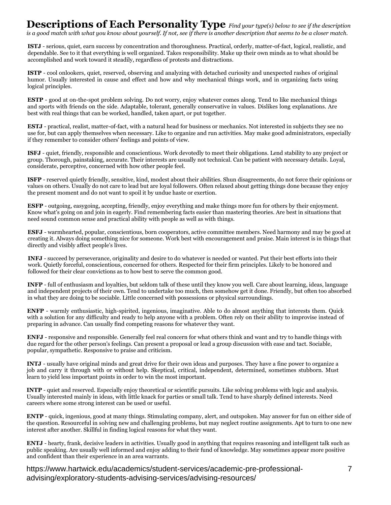### **Descriptions of Each Personality Type** *Find your type(s) below to see if the description*

*is a good match with what you know about yourself. If not, see if there is another description that seems to be a closer match.* 

**ISTJ** - serious, quiet, earn success by concentration and thoroughness. Practical, orderly, matter-of-fact, logical, realistic, and dependable. See to it that everything is well organized. Takes responsibility. Make up their own minds as to what should be accomplished and work toward it steadily, regardless of protests and distractions.

**ISTP** - cool onlookers, quiet, reserved, observing and analyzing with detached curiosity and unexpected rashes of original humor. Usually interested in cause and effect and how and why mechanical things work, and in organizing facts using logical principles.

**ESTP** - good at on-the-spot problem solving. Do not worry, enjoy whatever comes along. Tend to like mechanical things and sports with friends on the side. Adaptable, tolerant, generally conservative in values. Dislikes long explanations. Are best with real things that can be worked, handled, taken apart, or put together.

**ESTJ** - practical, realist, matter-of-fact, with a natural head for business or mechanics. Not interested in subjects they see no use for, but can apply themselves when necessary. Like to organize and run activities. May make good administrators, especially if they remember to consider others' feelings and points of view.

**ISFJ** - quiet, friendly, responsible and conscientious. Work devotedly to meet their obligations. Lend stability to any project or group. Thorough, painstaking, accurate. Their interests are usually not technical. Can be patient with necessary details. Loyal, considerate, perceptive, concerned with how other people feel.

**ISFP** - reserved quietly friendly, sensitive, kind, modest about their abilities. Shun disagreements, do not force their opinions or values on others. Usually do not care to lead but are loyal followers. Often relaxed about getting things done because they enjoy the present moment and do not want to spoil it by undue haste or exertion.

**ESFP** - outgoing, easygoing, accepting, friendly, enjoy everything and make things more fun for others by their enjoyment. Know what's going on and join in eagerly. Find remembering facts easier than mastering theories. Are best in situations that need sound common sense and practical ability with people as well as with things.

**ESFJ** - warmhearted, popular, conscientious, born cooperators, active committee members. Need harmony and may be good at creating it. Always doing something nice for someone. Work best with encouragement and praise. Main interest is in things that directly and visibly affect people's lives.

**INFJ** - succeed by perseverance, originality and desire to do whatever is needed or wanted. Put their best efforts into their work. Quietly forceful, conscientious, concerned for others. Respected for their firm principles. Likely to be honored and followed for their clear convictions as to how best to serve the common good.

**INFP** - full of enthusiasm and loyalties, but seldom talk of these until they know you well. Care about learning, ideas, language and independent projects of their own. Tend to undertake too much, then somehow get it done. Friendly, but often too absorbed in what they are doing to be sociable. Little concerned with possessions or physical surroundings.

**ENFP** - warmly enthusiastic, high-spirited, ingenious, imaginative. Able to do almost anything that interests them. Quick with a solution for any difficulty and ready to help anyone with a problem. Often rely on their ability to improvise instead of preparing in advance. Can usually find competing reasons for whatever they want.

**ENFJ** - responsive and responsible. Generally feel real concern for what others think and want and try to handle things with due regard for the other person's feelings. Can present a proposal or lead a group discussion with ease and tact. Sociable, popular, sympathetic. Responsive to praise and criticism.

**INTJ** - usually have original minds and great drive for their own ideas and purposes. They have a fine power to organize a job and carry it through with or without help. Skeptical, critical, independent, determined, sometimes stubborn. Must learn to yield less important points in order to win the most important.

**INTP** - quiet and reserved. Especially enjoy theoretical or scientific pursuits. Like solving problems with logic and analysis. Usually interested mainly in ideas, with little knack for parties or small talk. Tend to have sharply defined interests. Need careers where some strong interest can be used or useful.

**ENTP** - quick, ingenious, good at many things. Stimulating company, alert, and outspoken. May answer for fun on either side of the question. Resourceful in solving new and challenging problems, but may neglect routine assignments. Apt to turn to one new interest after another. Skillful in finding logical reasons for what they want.

**ENTJ** - hearty, frank, decisive leaders in activities. Usually good in anything that requires reasoning and intelligent talk such as public speaking. Are usually well informed and enjoy adding to their fund of knowledge. May sometimes appear more positive and confident than their experience in an area warrants.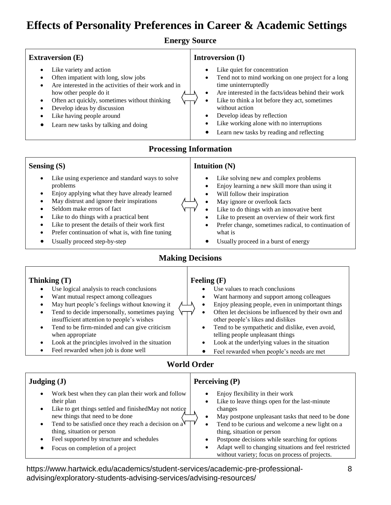### **Effects of Personality Preferences in Career & Academic Settings**

**Energy Source**

#### **Extraversion (E)**

- Like variety and action
- Often impatient with long, slow jobs
- Are interested in the activities of their work and in how other people do it
- Often act quickly, sometimes without thinking
- Develop ideas by discussion
- Like having people around
- Learn new tasks by talking and doing

#### **Introversion (I)**

- Like quiet for concentration
- Tend not to mind working on one project for a long time uninterruptedly
- Are interested in the facts/ideas behind their work
- Like to think a lot before they act, sometimes without action
- Develop ideas by reflection
- Like working alone with no interruptions
- Learn new tasks by reading and reflecting

#### **Processing Information**

#### **Sensing (S)**

- Like using experience and standard ways to solve problems
- Enjoy applying what they have already learned
- May distrust and ignore their inspirations
- Seldom make errors of fact
- Like to do things with a practical bent
- Like to present the details of their work first
- Prefer continuation of what is, with fine tuning
- Usually proceed step-by-step

#### **Intuition (N)**

- Like solving new and complex problems
- Enjoy learning a new skill more than using it
- Will follow their inspiration
- May ignore or overlook facts
- Like to do things with an innovative bent
- Like to present an overview of their work first
- Prefer change, sometimes radical, to continuation of what is
- Usually proceed in a burst of energy

#### **Making Decisions**

#### **Thinking (T)**

- Use logical analysis to reach conclusions
- Want mutual respect among colleagues
- May hurt people's feelings without knowing it
- Tend to decide impersonally, sometimes paying insufficient attention to people's wishes
- Tend to be firm-minded and can give criticism when appropriate
- Look at the principles involved in the situation
- Feel rewarded when job is done well

#### **Feeling (F)**

- Use values to reach conclusions
- Want harmony and support among colleagues
- Enjoy pleasing people, even in unimportant things
- Often let decisions be influenced by their own and other people's likes and dislikes
- Tend to be sympathetic and dislike, even avoid, telling people unpleasant things
- Look at the underlying values in the situation
- Feel rewarded when people's needs are met

#### **World Order**

| Judging $(J)$                                                  | Perceiving $(P)$                                      |  |
|----------------------------------------------------------------|-------------------------------------------------------|--|
| Work best when they can plan their work and follow             | Enjoy flexibility in their work                       |  |
| their plan                                                     | Like to leave things open for the last-minute         |  |
| Like to get things settled and finished May not notice         | changes                                               |  |
| $\bullet$                                                      | May postpone unpleasant tasks that need to be done    |  |
| new things that need to be done                                | Tend to be curious and welcome a new light on a       |  |
| Tend to be satisfied once they reach a decision on $a\sqrt{ }$ | $\bullet$                                             |  |
| $\bullet$                                                      | thing, situation or person                            |  |
| thing, situation or person                                     | Postpone decisions while searching for options        |  |
| Feel supported by structure and schedules                      | Adapt well to changing situations and feel restricted |  |
| Focus on completion of a project                               | without variety; focus on process of projects.        |  |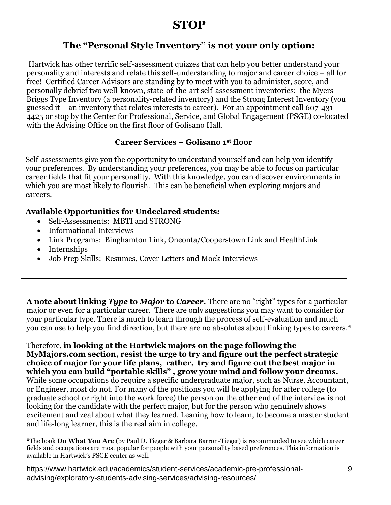### **STOP**

### **The "Personal Style Inventory" is not your only option:**

Hartwick has other terrific self-assessment quizzes that can help you better understand your personality and interests and relate this self-understanding to major and career choice – all for free! Certified Career Advisors are standing by to meet with you to administer, score, and personally debrief two well-known, state-of-the-art self-assessment inventories: the Myers-Briggs Type Inventory (a personality-related inventory) and the Strong Interest Inventory (you guessed it – an inventory that relates interests to career). For an appointment call 607-431- 4425 or stop by the Center for Professional, Service, and Global Engagement (PSGE) co-located with the Advising Office on the first floor of Golisano Hall.

#### **Career Services – Golisano 1 st floor**

Self-assessments give you the opportunity to understand yourself and can help you identify your preferences. By understanding your preferences, you may be able to focus on particular career fields that fit your personality. With this knowledge, you can discover environments in which you are most likely to flourish. This can be beneficial when exploring majors and careers.

#### **Available Opportunities for Undeclared students:**

- Self-Assessments: MBTI and STRONG
- Informational Interviews
- Link Programs: Binghamton Link, Oneonta/Cooperstown Link and HealthLink
- Internships
- Job Prep Skills: Resumes, Cover Letters and Mock Interviews

**A note about linking** *Type* **to** *Major* **to** *Career***.** There are no "right" types for a particular major or even for a particular career. There are only suggestions you may want to consider for your particular type. There is much to learn through the process of self-evaluation and much you can use to help you find direction, but there are no absolutes about linking types to careers.\*

Therefore, **in looking at the Hartwick majors on the page following the MyMajors.com section, resist the urge to try and figure out the perfect strategic choice of major for your life plans, rather, try and figure out the best major in which you can build "portable skills" , grow your mind and follow your dreams.** While some occupations do require a specific undergraduate major, such as Nurse, Accountant, or Engineer, most do not. For many of the positions you will be applying for after college (to graduate school or right into the work force) the person on the other end of the interview is not looking for the candidate with the perfect major, but for the person who genuinely shows excitement and zeal about what they learned. Leaning how to learn, to become a master student and life-long learner, this is the real aim in college.

\*The book **Do What You Are** (by Paul D. Tieger & Barbara Barron-Tieger) is recommended to see which career fields and occupations are most popular for people with your personality based preferences. This information is available in Hartwick's PSGE center as well.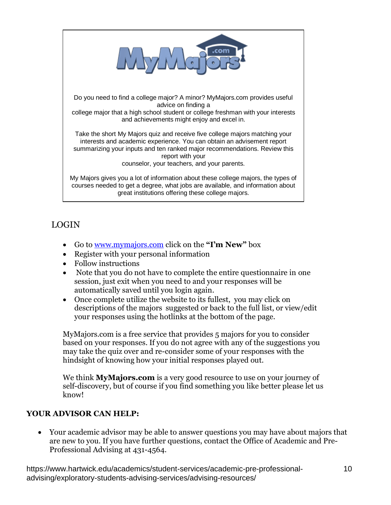

#### LOGIN

- Go to www.mymajors.com click on the **"I'm New"** box
- Register with your personal information
- Follow instructions
- Note that you do not have to complete the entire questionnaire in one session, just exit when you need to and your responses will be automatically saved until you login again.
- Once complete utilize the website to its fullest, you may click on descriptions of the majors suggested or back to the full list, or view/edit your responses using the hotlinks at the bottom of the page.

MyMajors.com is a free service that provides 5 majors for you to consider based on your responses. If you do not agree with any of the suggestions you may take the quiz over and re-consider some of your responses with the hindsight of knowing how your initial responses played out.

We think **MyMajors.com** is a very good resource to use on your journey of self-discovery, but of course if you find something you like better please let us know!

#### **YOUR ADVISOR CAN HELP:**

 Your academic advisor may be able to answer questions you may have about majors that are new to you. If you have further questions, contact the Office of Academic and Pre-Professional Advising at 431-4564.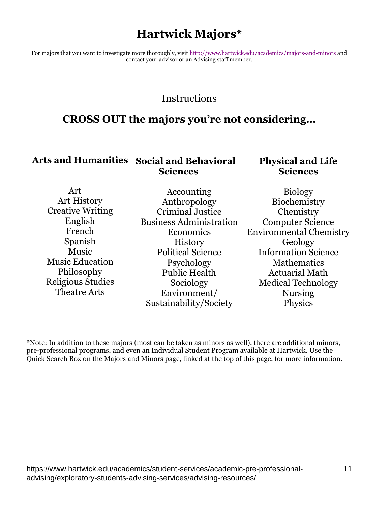### **Hartwick Majors\***

For majors that you want to investigate more thoroughly, visit<http://www.hartwick.edu/academics/majors-and-minors> and contact your advisor or an Advising staff member.

#### Instructions

### **CROSS OUT the majors you're not considering…**

#### **Arts and Humanities Social and Behavioral Sciences**

#### **Physical and Life Sciences**

| Art                      | Accounting                     | <b>Biology</b>                 |  |
|--------------------------|--------------------------------|--------------------------------|--|
| Art History              | Anthropology                   |                                |  |
| <b>Creative Writing</b>  | <b>Criminal Justice</b>        | Chemistry                      |  |
| English                  | <b>Business Administration</b> | <b>Computer Science</b>        |  |
| French                   | <b>Economics</b>               | <b>Environmental Chemistry</b> |  |
| Spanish                  | <b>History</b>                 | Geology                        |  |
| <b>Music</b>             | <b>Political Science</b>       | <b>Information Science</b>     |  |
| <b>Music Education</b>   | Psychology                     | Mathematics                    |  |
| Philosophy               | <b>Public Health</b>           | <b>Actuarial Math</b>          |  |
| <b>Religious Studies</b> | Sociology                      | <b>Medical Technology</b>      |  |
| <b>Theatre Arts</b>      | Environment/                   | <b>Nursing</b>                 |  |
|                          | Sustainability/Society         | Physics                        |  |

\*Note: In addition to these majors (most can be taken as minors as well), there are additional minors, pre-professional programs, and even an Individual Student Program available at Hartwick. Use the Quick Search Box on the Majors and Minors page, linked at the top of this page, for more information.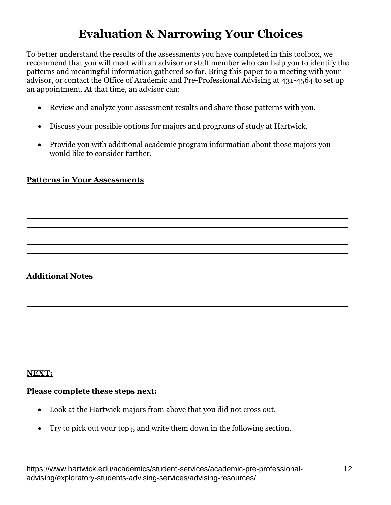# **Evaluation & Narrowing Your Choices**

To better understand the results of the assessments you have completed in this toolbox, we recommend that you will meet with an advisor or staff member who can help you to identify the patterns and meaningful information gathered so far. Bring this paper to a meeting with your advisor, or contact the Office of Academic and Pre-Professional Advising at 431-4564 to set up an appointment. At that time, an advisor can:

- Review and analyze your assessment results and share those patterns with you.
- Discuss your possible options for majors and programs of study at Hartwick.
- Provide you with additional academic program information about those majors you would like to consider further.

#### **Patterns in Your Assessments**

#### **Additional Notes**

#### **NEXT:**

#### **Please complete these steps next:**

- Look at the Hartwick majors from above that you did not cross out.
- Try to pick out your top 5 and write them down in the following section.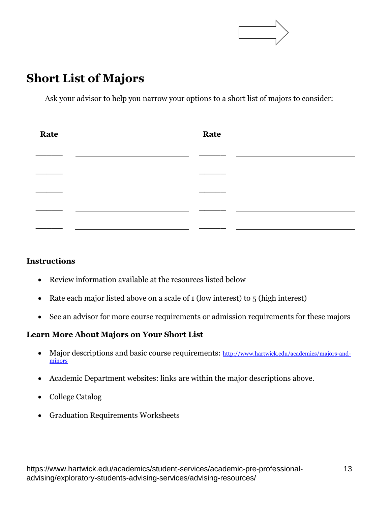

### **Short List of Majors**

Ask your advisor to help you narrow your options to a short list of majors to consider:

| Rate | Rate |  |
|------|------|--|
|      |      |  |
|      |      |  |
|      |      |  |
|      |      |  |
|      |      |  |
|      |      |  |

#### **Instructions**

- Review information available at the resources listed below
- Rate each major listed above on a scale of  $1$  (low interest) to  $5$  (high interest)
- See an advisor for more course requirements or admission requirements for these majors

#### **Learn More About Majors on Your Short List**

- Major descriptions and basic course requirements: [http://www.hartwick.edu/academics/majors-and](http://www.hartwick.edu/academics/majors-and-minors)[minors](http://www.hartwick.edu/academics/majors-and-minors)
- Academic Department websites: links are within the major descriptions above.
- College Catalog
- Graduation Requirements Worksheets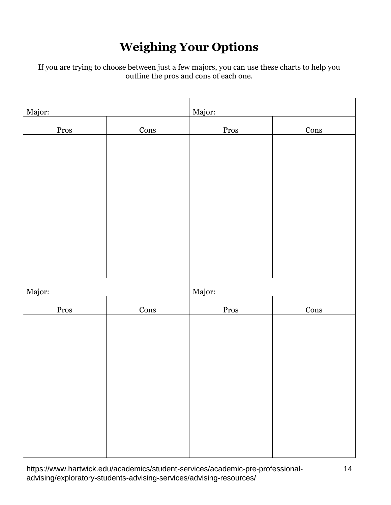# **Weighing Your Options**

If you are trying to choose between just a few majors, you can use these charts to help you outline the pros and cons of each one.

| Major: |      | Major: |      |
|--------|------|--------|------|
| Pros   | Cons | Pros   | Cons |
|        |      |        |      |
|        |      |        |      |
|        |      |        |      |
|        |      |        |      |
|        |      |        |      |
|        |      |        |      |
|        |      |        |      |
|        |      |        |      |
| Major: |      | Major: |      |
| Pros   | Cons | Pros   | Cons |
|        |      |        |      |
|        |      |        |      |
|        |      |        |      |
|        |      |        |      |
|        |      |        |      |
|        |      |        |      |
|        |      |        |      |
|        |      |        |      |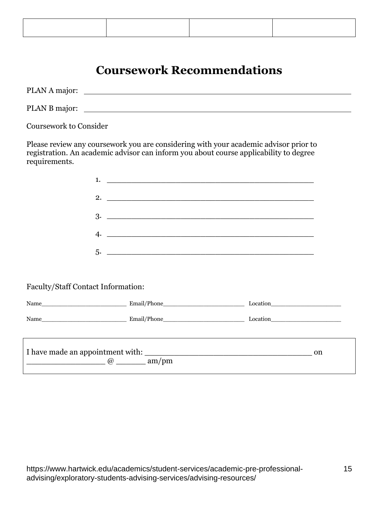### **Coursework Recommendations**

| PLAN A major: |  |
|---------------|--|
| PLAN B major: |  |

Coursework to Consider

Please review any coursework you are considering with your academic advisor prior to registration. An academic advisor can inform you about course applicability to degree requirements.

| 1.                                           |                                                                                  |    |
|----------------------------------------------|----------------------------------------------------------------------------------|----|
|                                              | 2. $\qquad \qquad$                                                               |    |
|                                              |                                                                                  |    |
|                                              |                                                                                  |    |
|                                              |                                                                                  |    |
|                                              |                                                                                  |    |
| Faculty/Staff Contact Information:           |                                                                                  |    |
|                                              |                                                                                  |    |
|                                              |                                                                                  |    |
|                                              | ,我们也不会有什么?""我们的人,我们也不会有什么?""我们的人,我们也不会有什么?""我们的人,我们也不会有什么?""我们的人,我们也不会有什么?""我们的人 |    |
|                                              |                                                                                  | on |
| $\qquad \qquad @ \qquad \qquad \text{am/pm}$ |                                                                                  |    |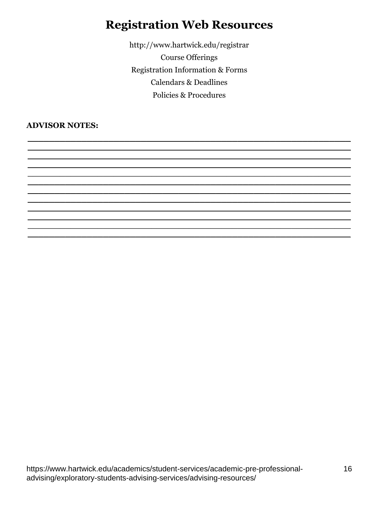### **Registration Web Resources**

http://www.hartwick.edu/registrar **Course Offerings Registration Information & Forms Calendars & Deadlines** Policies & Procedures

**ADVISOR NOTES:**